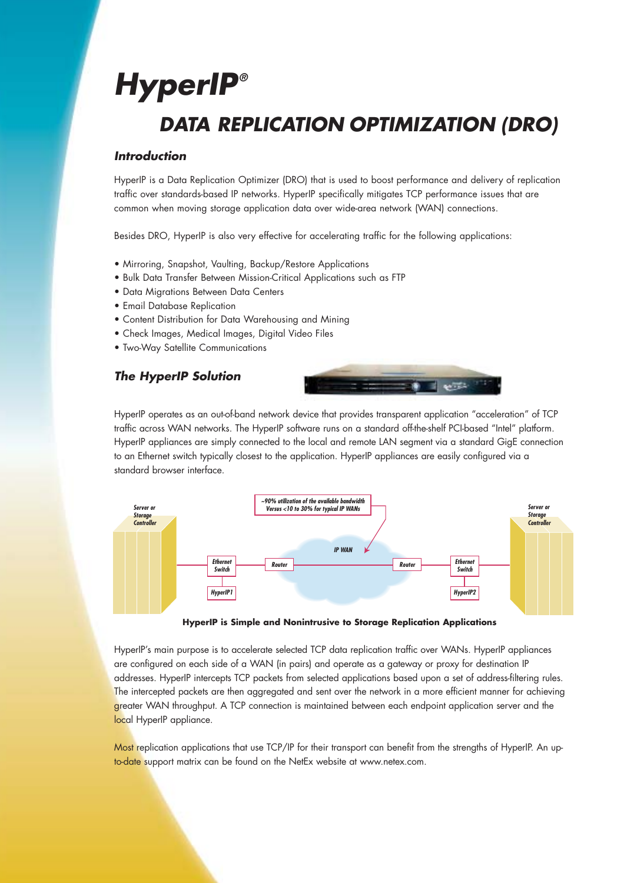# **HyperIP® DATA REPLICATION OPTIMIZATION (DRO)**

## **Introduction**

HyperIP is a Data Replication Optimizer (DRO) that is used to boost performance and delivery of replication traffic over standards-based IP networks. HyperIP specifically mitigates TCP performance issues that are common when moving storage application data over wide-area network (WAN) connections.

Besides DRO, HyperIP is also very effective for accelerating traffic for the following applications:

- Mirroring, Snapshot, Vaulting, Backup/Restore Applications
- Bulk Data Transfer Between Mission-Critical Applications such as FTP
- Data Migrations Between Data Centers
- Email Database Replication
- Content Distribution for Data Warehousing and Mining
- Check Images, Medical Images, Digital Video Files
- Two-Way Satellite Communications

## **The HyperIP Solution**



HyperIP operates as an out-of-band network device that provides transparent application "acceleration" of TCP traffic across WAN networks. The HyperIP software runs on a standard off-the-shelf PCI-based "Intel" platform. HyperIP appliances are simply connected to the local and remote LAN segment via a standard GigE connection to an Ethernet switch typically closest to the application. HyperIP appliances are easily configured via a standard browser interface.



**HyperIP is Simple and Nonintrusive to Storage Replication Applications**

HyperIP's main purpose is to accelerate selected TCP data replication traffic over WANs. HyperIP appliances are configured on each side of a WAN (in pairs) and operate as a gateway or proxy for destination IP addresses. HyperIP intercepts TCP packets from selected applications based upon a set of address-filtering rules. The intercepted packets are then aggregated and sent over the network in a more efficient manner for achieving greater WAN throughput. A TCP connection is maintained between each endpoint application server and the local HyperIP appliance.

Most replication applications that use TCP/IP for their transport can benefit from the strengths of HyperIP. An upto-date support matrix can be found on the NetEx website at www.netex.com.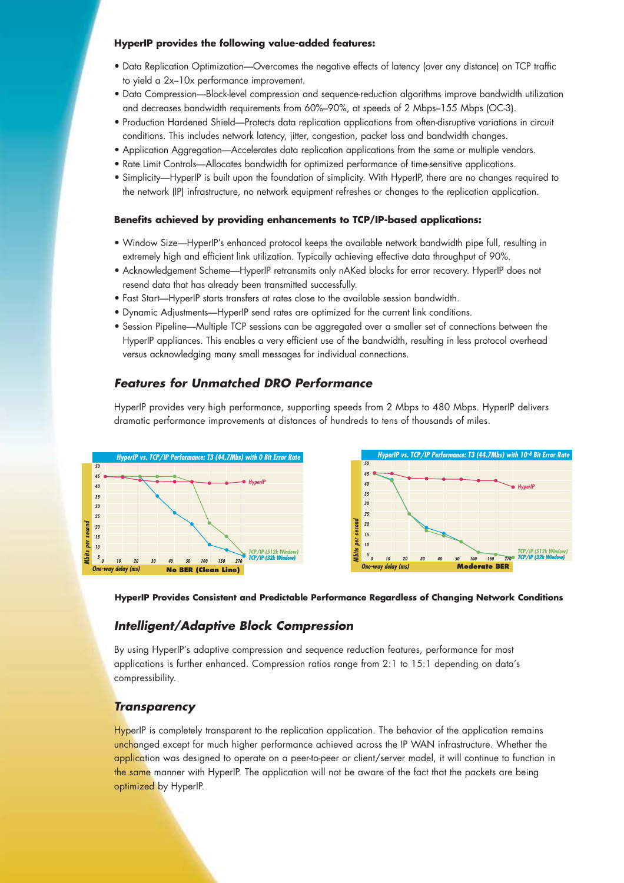#### **HyperIP provides the following value-added features:**

- Data Replication Optimization—Overcomes the negative effects of latency (over any distance) on TCP traffic to yield a 2x–10x performance improvement.
- Data Compression—Block-level compression and sequence-reduction algorithms improve bandwidth utilization and decreases bandwidth requirements from 60%–90%, at speeds of 2 Mbps–155 Mbps (OC-3).
- Production Hardened Shield—Protects data replication applications from often-disruptive variations in circuit conditions. This includes network latency, jitter, congestion, packet loss and bandwidth changes.
- Application Aggregation—Accelerates data replication applications from the same or multiple vendors.
- Rate Limit Controls—Allocates bandwidth for optimized performance of time-sensitive applications.
- Simplicity—HyperIP is built upon the foundation of simplicity. With HyperIP, there are no changes required to the network (IP) infrastructure, no network equipment refreshes or changes to the replication application.

#### **Benefits achieved by providing enhancements to TCP/IP-based applications:**

- Window Size—HyperIP's enhanced protocol keeps the available network bandwidth pipe full, resulting in extremely high and efficient link utilization. Typically achieving effective data throughput of 90%.
- Acknowledgement Scheme—HyperIP retransmits only nAKed blocks for error recovery. HyperIP does not resend data that has already been transmitted successfully.
- Fast Start—HyperIP starts transfers at rates close to the available session bandwidth.
- Dynamic Adjustments—HyperIP send rates are optimized for the current link conditions.
- Session Pipeline—Multiple TCP sessions can be aggregated over a smaller set of connections between the HyperIP appliances. This enables a very efficient use of the bandwidth, resulting in less protocol overhead versus acknowledging many small messages for individual connections.

## **Features for Unmatched DRO Performance**

HyperIP provides very high performance, supporting speeds from 2 Mbps to 480 Mbps. HyperIP delivers dramatic performance improvements at distances of hundreds to tens of thousands of miles.





## **Intelligent/Adaptive Block Compression**

By using HyperIP's adaptive compression and sequence reduction features, performance for most applications is further enhanced. Compression ratios range from 2:1 to 15:1 depending on data's compressibility.

#### **Transparency**

HyperIP is completely transparent to the replication application. The behavior of the application remains unchanged except for much higher performance achieved across the IP WAN infrastructure. Whether the application was designed to operate on a peer-to-peer or client/server model, it will continue to function in the same manner with HyperIP. The application will not be aware of the fact that the packets are being optimized by HyperIP.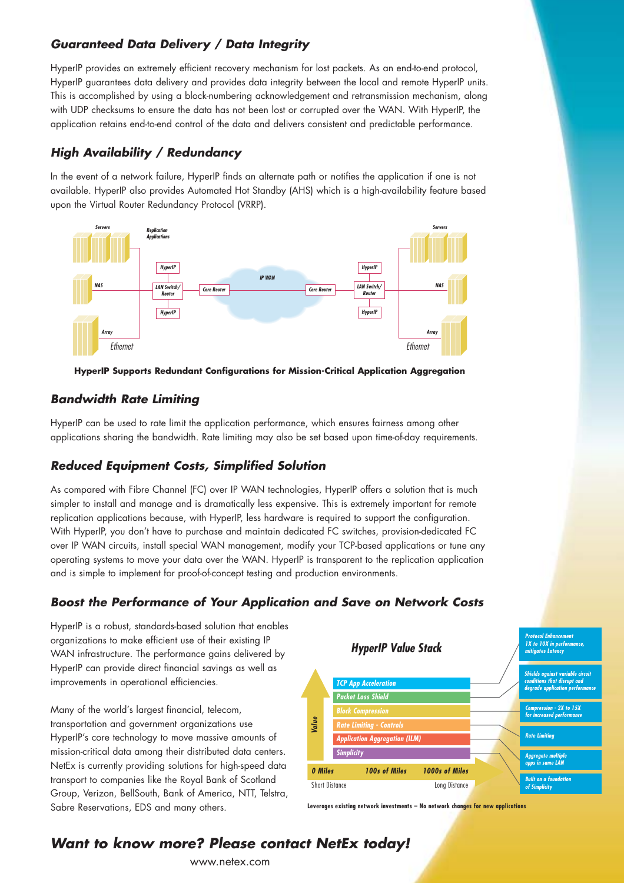## **Guaranteed Data Delivery / Data Integrity**

HyperIP provides an extremely efficient recovery mechanism for lost packets. As an end-to-end protocol, HyperIP guarantees data delivery and provides data integrity between the local and remote HyperIP units. This is accomplished by using a block-numbering acknowledgement and retransmission mechanism, along with UDP checksums to ensure the data has not been lost or corrupted over the WAN. With HyperIP, the application retains end-to-end control of the data and delivers consistent and predictable performance.

## **High Availability / Redundancy**

In the event of a network failure, HyperIP finds an alternate path or notifies the application if one is not available. HyperIP also provides Automated Hot Standby (AHS) which is a high-availability feature based upon the Virtual Router Redundancy Protocol (VRRP).





## **Bandwidth Rate Limiting**

HyperIP can be used to rate limit the application performance, which ensures fairness among other applications sharing the bandwidth. Rate limiting may also be set based upon time-of-day requirements.

## **Reduced Equipment Costs, Simplified Solution**

As compared with Fibre Channel (FC) over IP WAN technologies, HyperIP offers a solution that is much simpler to install and manage and is dramatically less expensive. This is extremely important for remote replication applications because, with HyperIP, less hardware is required to support the configuration. With HyperIP, you don't have to purchase and maintain dedicated FC switches, provision-dedicated FC over IP WAN circuits, install special WAN management, modify your TCP-based applications or tune any operating systems to move your data over the WAN. HyperIP is transparent to the replication application and is simple to implement for proof-of-concept testing and production environments.

## **Boost the Performance of Your Application and Save on Network Costs**

HyperIP is a robust, standards-based solution that enables organizations to make efficient use of their existing IP WAN infrastructure. The performance gains delivered by HyperIP can provide direct financial savings as well as improvements in operational efficiencies.

Many of the world's largest financial, telecom, transportation and government organizations use HyperIP's core technology to move massive amounts of mission-critical data among their distributed data centers. NetEx is currently providing solutions for high-speed data transport to companies like the Royal Bank of Scotland Group, Verizon, BellSouth, Bank of America, NTT, Telstra, Sabre Reservations, EDS and many others.



**Leverages existing network investments – No network changes for new applications**

# **Want to know more? Please contact NetEx today!**

www.netex.com